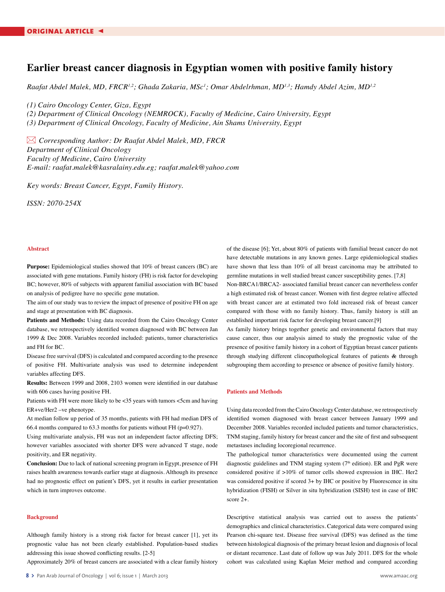# **Earlier breast cancer diagnosis in Egyptian women with positive family history**

*Raafat Abdel Malek, MD, FRCR1,2; Ghada Zakaria, MSc1 ; Omar Abdelrhman, MD1,3; Hamdy Abdel Azim, MD1,2*

*(1) Cairo Oncology Center, Giza, Egypt*

*(2) Department of Clinical Oncology (NEMROCK), Faculty of Medicine, Cairo University, Egypt (3) Department of Clinical Oncology, Faculty of Medicine, Ain Shams University, Egypt*

 *Corresponding Author: Dr Raafat Abdel Malek, MD, FRCR Department of Clinical Oncology Faculty of Medicine, Cairo University E-mail: raafat.malek@kasralainy.edu.eg; raafat.malek@yahoo.com*

*Key words: Breast Cancer, Egypt, Family History.*

*ISSN: 2070-254X*

## **Abstract**

**Purpose:** Epidemiological studies showed that 10% of breast cancers (BC) are associated with gene mutations. Family history (FH) is risk factor for developing BC; however, 80% of subjects with apparent familial association with BC based on analysis of pedigree have no specific gene mutation.

The aim of our study was to review the impact of presence of positive FH on age and stage at presentation with BC diagnosis.

**Patients and Methods:** Using data recorded from the Cairo Oncology Center database, we retrospectively identified women diagnosed with BC between Jan 1999 & Dec 2008. Variables recorded included: patients, tumor characteristics and FH for BC.

Disease free survival (DFS) is calculated and compared according to the presence of positive FH. Multivariate analysis was used to determine independent variables affecting DFS.

**Results:** Between 1999 and 2008, 2103 women were identified in our database with 606 cases having positive FH.

Patients with FH were more likely to be <35 years with tumors <5cm and having ER+ve/Her2 –ve phenotype.

At median follow up period of 35 months, patients with FH had median DFS of 66.4 months compared to 63.3 months for patients without FH (p=0.927).

Using multivariate analysis, FH was not an independent factor affecting DFS; however variables associated with shorter DFS were advanced T stage, node positivity, and ER negativity.

**Conclusion:** Due to lack of national screening program in Egypt, presence of FH raises health awareness towards earlier stage at diagnosis. Although its presence had no prognostic effect on patient's DFS, yet it results in earlier presentation which in turn improves outcome.

### **Background**

Although family history is a strong risk factor for breast cancer [1], yet its prognostic value has not been clearly established. Population-based studies addressing this issue showed conflicting results. [2-5]

Approximately 20% of breast cancers are associated with a clear family history

of the disease [6]; Yet, about 80% of patients with familial breast cancer do not have detectable mutations in any known genes. Large epidemiological studies have shown that less than 10% of all breast carcinoma may be attributed to germline mutations in well studied breast cancer susceptibility genes. [7,8] Non-BRCA1/BRCA2- associated familial breast cancer can nevertheless confer a high estimated risk of breast cancer. Women with first degree relative affected with breast cancer are at estimated two fold increased risk of breast cancer compared with those with no family history. Thus, family history is still an established important risk factor for developing breast cancer.[9]

As family history brings together genetic and environmental factors that may cause cancer, thus our analysis aimed to study the prognostic value of the presence of positive family history in a cohort of Egyptian breast cancer patients through studying different clincopathological features of patients & through subgrouping them according to presence or absence of positive family history.

#### **Patients and Methods**

Using data recorded from theCairo OncologyCenter database, we retrospectively identified women diagnosed with breast cancer between January 1999 and December 2008. Variables recorded included patients and tumor characteristics, TNM staging, family history for breast cancer and the site of first and subsequent metastases including locoregional recurrence.

The pathological tumor characteristics were documented using the current diagnostic guidelines and TNM staging system  $(7<sup>th</sup>$  edition). ER and PgR were considered positive if >10% of tumor cells showed expression in IHC. Her2 was considered positive if scored 3+ by IHC or positive by Fluorescence in situ hybridization (FISH) or Silver in situ hybridization (SISH) test in case of IHC score 2+.

Descriptive statistical analysis was carried out to assess the patients' demographics and clinical characteristics. Categorical data were compared using Pearson chi-square test. Disease free survival (DFS) was defined as the time between histological diagnosis of the primary breast lesion and diagnosis of local or distant recurrence. Last date of follow up was July 2011. DFS for the whole cohort was calculated using Kaplan Meier method and compared according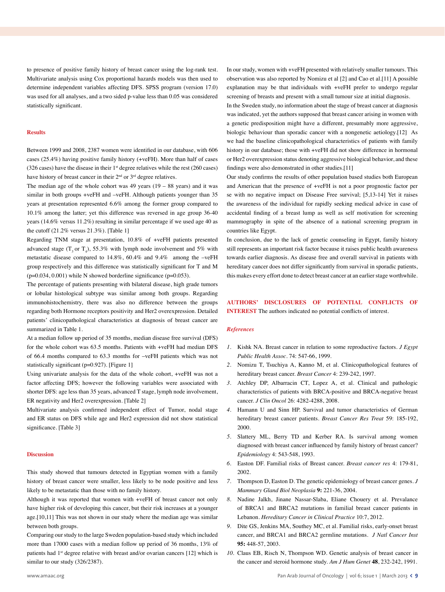to presence of positive family history of breast cancer using the log-rank test. Multivariate analysis using Cox proportional hazards models was then used to determine independent variables affecting DFS. SPSS program (version 17.0) was used for all analyses, and a two sided p-value less than 0.05 was considered statistically significant.

#### **Results**

Between 1999 and 2008, 2387 women were identified in our database, with 606 cases (25.4%) having positive family history (+veFH). More than half of cases (326 cases) have the disease in their  $1<sup>st</sup>$  degree relatives while the rest (260 cases) have history of breast cancer in their 2<sup>nd</sup> or 3<sup>rd</sup> degree relatives.

The median age of the whole cohort was  $49$  years  $(19 - 88$  years) and it was similar in both groups +veFH and –veFH. Although patients younger than 35 years at presentation represented 6.6% among the former group compared to 10.1% among the latter; yet this difference was reversed in age group 36-40 years (14.6% versus 11.2%) resulting in similar percentage if we used age 40 as the cutoff (21.2% versus 21.3%). [Table 1]

Regarding TNM stage at presentation, 10.8% of +veFH patients presented advanced stage  $(T_3$  or  $T_4$ ), 55.3% with lymph node involvement and 5% with metastatic disease compared to 14.8%, 60.4% and 9.4% among the –veFH group respectively and this difference was statistically significant for T and M  $(p=0.034, 0.001)$  while N showed borderline significance  $(p=0.053)$ .

The percentage of patients presenting with bilateral disease, high grade tumors or lobular histological subtype was similar among both groups. Regarding immunohistochemistry, there was also no difference between the groups regarding both Hormone receptors positivity and Her2 overexpression. Detailed patients' clinicopathological characteristics at diagnosis of breast cancer are summarized in Table 1.

At a median follow up period of 35 months, median disease free survival (DFS) for the whole cohort was 63.5 months. Patients with +veFH had median DFS of 66.4 months compared to 63.3 months for –veFH patients which was not statistically significant (p=0.927). [Figure 1]

Using univariate analysis for the data of the whole cohort, +veFH was not a factor affecting DFS; however the following variables were associated with shorter DFS: age less than 35 years, advanced T stage, lymph node involvement, ER negativity and Her2 overexpression. [Table 2]

Multivariate analysis confirmed independent effect of Tumor, nodal stage and ER status on DFS while age and Her2 expression did not show statistical significance. [Table 3]

#### **Discussion**

This study showed that tumours detected in Egyptian women with a family history of breast cancer were smaller, less likely to be node positive and less likely to be metastatic than those with no family history.

Although it was reported that women with +veFH of breast cancer not only have higher risk of developing this cancer, but their risk increases at a younger age.[10,11] This was not shown in our study where the median age was similar between both groups.

Comparing our study to the large Sweden population-based study which included more than 17000 cases with a median follow up period of 36 months, 13% of patients had 1<sup>st</sup> degree relative with breast and/or ovarian cancers [12] which is similar to our study (326/2387).

In our study, women with +veFH presented with relatively smaller tumours. This observation was also reported by Nomizu et al [2] and Cao et al.[11] A possible explanation may be that individuals with +veFH prefer to undergo regular screening of breasts and present with a small tumour size at initial diagnosis. In the Sweden study, no information about the stage of breast cancer at diagnosis was indicated, yet the authors supposed that breast cancer arising in women with a genetic predisposition might have a different, presumably more aggressive,

biologic behaviour than sporadic cancer with a nongenetic aetiology.[12] As we had the baseline clinicopathological characteristics of patients with family history in our database; those with +veFH did not show difference in hormonal or Her2 overexpression status denoting aggressive biological behavior, and these findings were also demonstrated in other studies.[11]

Our study confirms the results of other population based studies both European and American that the presence of +veFH is not a poor prognostic factor per se with no negative impact on Disease Free survival; [5,13-14] Yet it raises the awareness of the individual for rapidly seeking medical advice in case of accidental finding of a breast lump as well as self motivation for screening mammography in spite of the absence of a national screening program in countries like Egypt.

In conclusion, due to the lack of genetic counseling in Egypt, family history still represents an important risk factor because it raises public health awareness towards earlier diagnosis. As disease free and overall survival in patients with hereditary cancer does not differ significantly from survival in sporadic patients, this makes every effort done to detect breast cancer at an earlier stage worthwhile.

**AUTHORS' DISCLOSURES OF POTENTIAL CONFLICTS OF INTEREST** The authors indicated no potential conflicts of interest.

#### *References*

- *1.* Kishk NA. Breast cancer in relation to some reproductive factors. *J Egypt Public Health Assoc.* 74: 547-66, 1999.
- *2.* Nomizu T, Tsuchiya A, Kanno M, et al. Clinicopathological features of hereditary breast cancer. *Breast Cancer* 4: 239-242, 1997.
- *3.* Atchley DP, Albarracin CT, Lopez A, et al. Clinical and pathologic characteristics of patients with BRCA-positive and BRCA-negative breast cancer. *J Clin Oncol* 26: 4282-4288, 2008.
- *4.* Hamann U and Sinn HP. Survival and tumor characteristics of German hereditary breast cancer patients. *Breast Cancer Res Treat* 59: 185-192, 2000.
- *5.* Slattery ML, Berry TD and Kerber RA. Is survival among women diagnosed with breast cancer influenced by family history of breast cancer? *Epidemiology* 4: 543-548, 1993.
- *6.* Easton DF. Familial risks of Breast cancer. *Breast cancer res* 4: 179-81, 2002.
- *7.* Thompson D, Easton D. The genetic epidemiology of breast cancer genes. *J Mammary Gland Biol Neoplasia* **9:** 221-36, 2004.
- *8.* Nadine Jalkh, Jinane Nassar-Slaba, Eliane Chouery et al. Prevalance of BRCA1 and BRCA2 mutations in familial breast cancer patients in Lebanon. *Hereditary Cancer in Clinical Practice* 10:7, 2012.
- *9.* Dite GS, Jenkins MA, Southey MC, et al. Familial risks, early-onset breast cancer, and BRCA1 and BRCA2 germline mutations. *J Natl Cancer Inst* **95:** 448-57, 2003.
- *10.* Claus EB, Risch N, Thompson WD. Genetic analysis of breast cancer in the cancer and steroid hormone study. *Am J Hum Genet* **48**, 232-242, 1991.